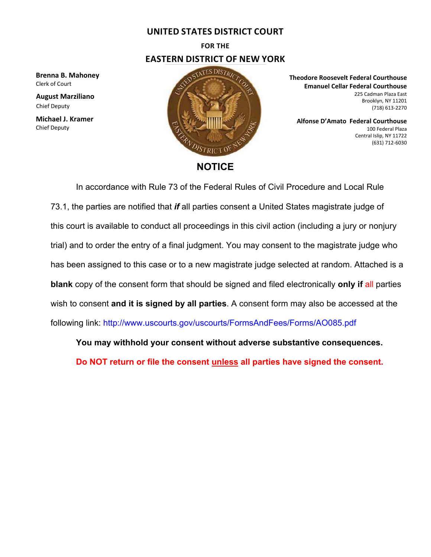### **UNITED STATES DISTRICT COURT**

# **FOR THE EASTERN DISTRICT OF NEW YORK**

**Brenna B. Mahoney** Clerk of Court

**August Marziliano** Chief Deputy

**Michael J. Kramer** Chief Deputy



#### **Theodore Roosevelt Federal Courthouse Emanuel Cellar Federal Courthouse** 225 Cadman Plaza East Brooklyn, NY 11201 (718) 613‐2270

**Alfonse D'Amato Federal Courthouse** 100 Federal Plaza Central Islip, NY 11722 (631) 712-6030

In accordance with Rule 73 of the Federal Rules of Civil Procedure and Local Rule 73.1, the parties are notified that *if* all parties consent a United States magistrate judge of this court is available to conduct all proceedings in this civil action (including a jury or nonjury trial) and to order the entry of a final judgment. You may consent to the magistrate judge who has been assigned to this case or to a new magistrate judge selected at random. Attached is a **blank** copy of the consent form that should be signed and filed electronically **only if** all parties wish to consent **and it is signed by all parties**. A consent form may also be accessed at the following link: http://www.uscourts.gov/uscourts/FormsAndFees/Forms/AO085.pdf

**You may withhold your consent without adverse substantive consequences.** 

**Do NOT return or file the consent unless all parties have signed the consent.**